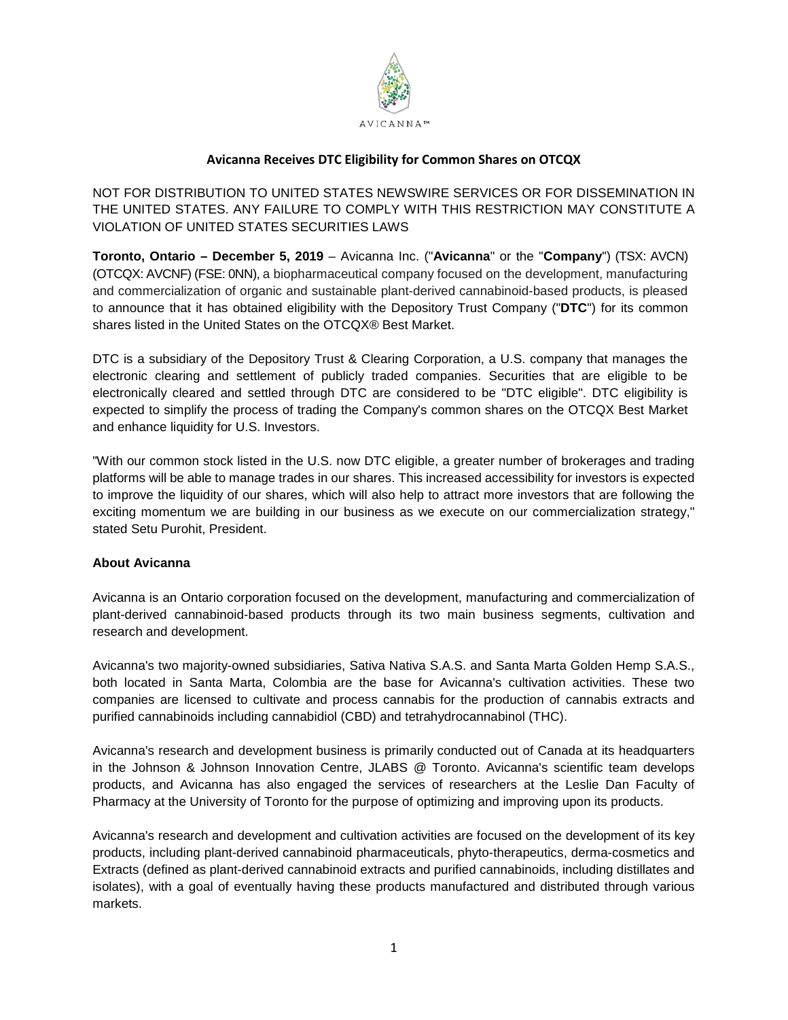

# **Avicanna Receives DTC Eligibility for Common Shares on OTCQX**

NOT FOR DISTRIBUTION TO UNITED STATES NEWSWIRE SERVICES OR FOR DISSEMINATION IN THE UNITED STATES. ANY FAILURE TO COMPLY WITH THIS RESTRICTION MAY CONSTITUTE A VIOLATION OF UNITED STATES SECURITIES LAWS

**Toronto, Ontario – December 5, 2019** – Avicanna Inc. ("**Avicanna**" or the "**Company**") (TSX: AVCN) (OTCQX: AVCNF) (FSE: 0NN), a biopharmaceutical company focused on the development, manufacturing and commercialization of organic and sustainable plant-derived cannabinoid-based products, is pleased to announce that it has obtained eligibility with the Depository Trust Company ("**DTC**") for its common shares listed in the United States on the OTCQX® Best Market.

DTC is a subsidiary of the Depository Trust & Clearing Corporation, a U.S. company that manages the electronic clearing and settlement of publicly traded companies. Securities that are eligible to be electronically cleared and settled through DTC are considered to be "DTC eligible". DTC eligibility is expected to simplify the process of trading the Company's common shares on the OTCQX Best Market and enhance liquidity for U.S. Investors.

"With our common stock listed in the U.S. now DTC eligible, a greater number of brokerages and trading platforms will be able to manage trades in our shares. This increased accessibility for investors is expected to improve the liquidity of our shares, which will also help to attract more investors that are following the exciting momentum we are building in our business as we execute on our commercialization strategy," stated Setu Purohit, President.

## **About Avicanna**

Avicanna is an Ontario corporation focused on the development, manufacturing and commercialization of plant-derived cannabinoid-based products through its two main business segments, cultivation and research and development.

Avicanna's two majority-owned subsidiaries, Sativa Nativa S.A.S. and Santa Marta Golden Hemp S.A.S., both located in Santa Marta, Colombia are the base for Avicanna's cultivation activities. These two companies are licensed to cultivate and process cannabis for the production of cannabis extracts and purified cannabinoids including cannabidiol (CBD) and tetrahydrocannabinol (THC).

Avicanna's research and development business is primarily conducted out of Canada at its headquarters in the Johnson & Johnson Innovation Centre, JLABS @ Toronto. Avicanna's scientific team develops products, and Avicanna has also engaged the services of researchers at the Leslie Dan Faculty of Pharmacy at the University of Toronto for the purpose of optimizing and improving upon its products.

Avicanna's research and development and cultivation activities are focused on the development of its key products, including plant-derived cannabinoid pharmaceuticals, phyto-therapeutics, derma-cosmetics and Extracts (defined as plant-derived cannabinoid extracts and purified cannabinoids, including distillates and isolates), with a goal of eventually having these products manufactured and distributed through various markets.